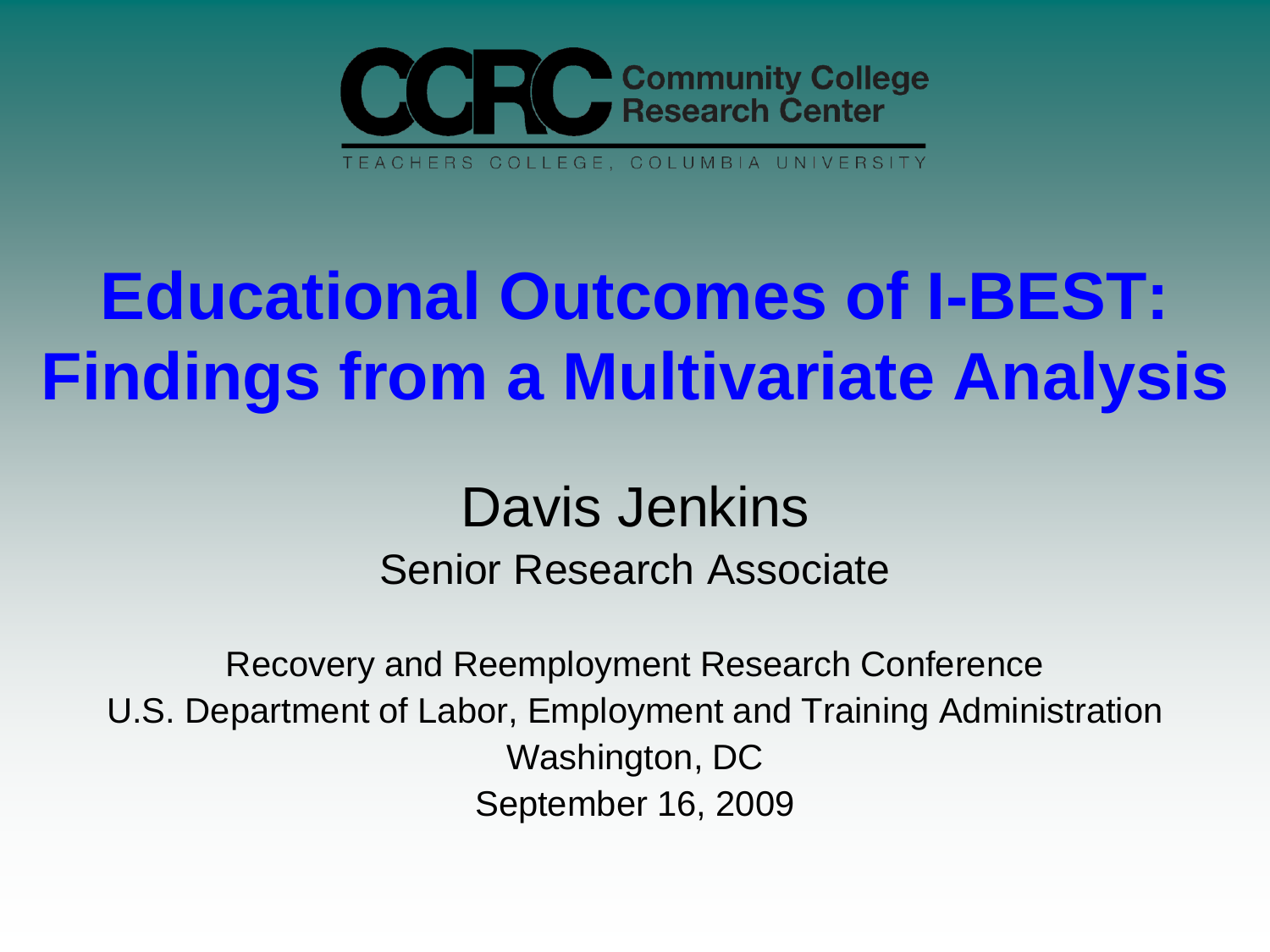

### **Educational Outcomes of I-BEST: Findings from a Multivariate Analysis**

#### Davis Jenkins Senior Research Associate

 Washington, DC September 16, 2009 Recovery and Reemployment Research Conference U.S. Department of Labor, Employment and Training Administration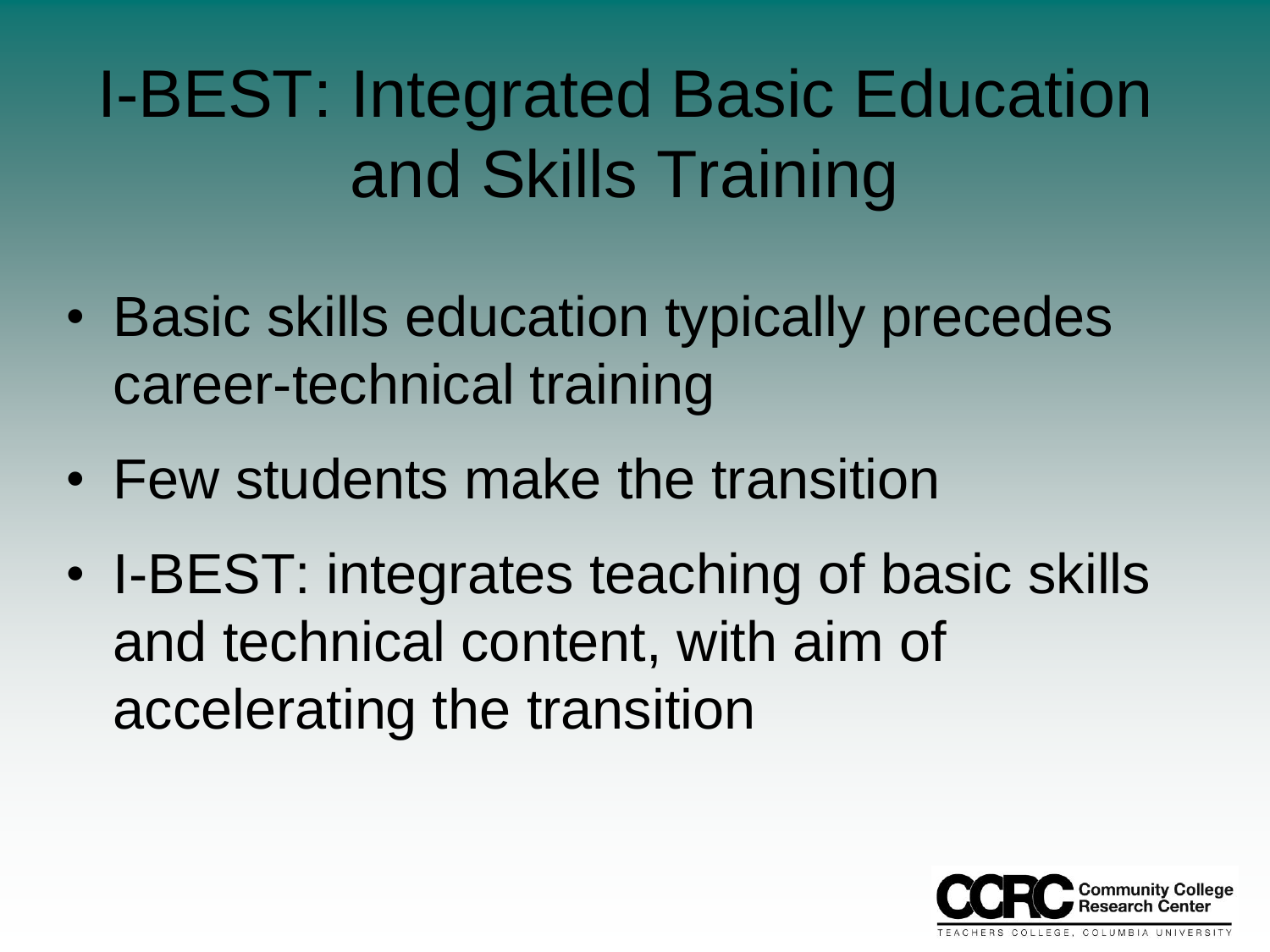## I-BEST: Integrated Basic Education and Skills Training

- career-technical training • Basic skills education typically precedes
- Few students make the transition
- I-BEST: integrates teaching of basic skills and technical content, with aim of accelerating the transition

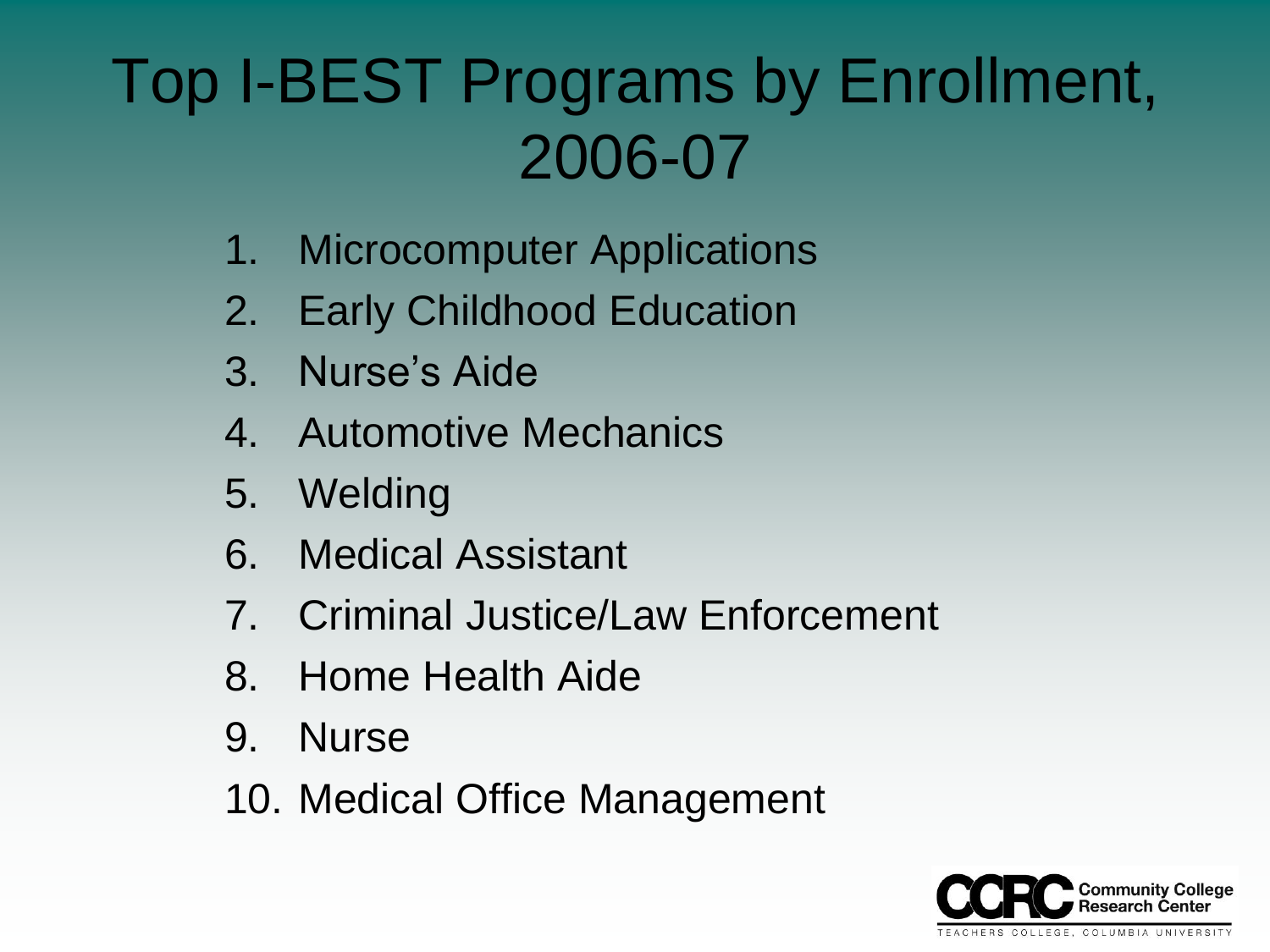### Top I-BEST Programs by Enrollment, 2006-07

- 1. Microcomputer Applications
- 2. Early Childhood Education
- 3. Nurse's Aide
- 4. Automotive Mechanics
- 5. Welding
- 6. Medical Assistant
- 7. Criminal Justice/Law Enforcement
- 8. Home Health Aide
- 9. Nurse
- 10. Medical Office Management

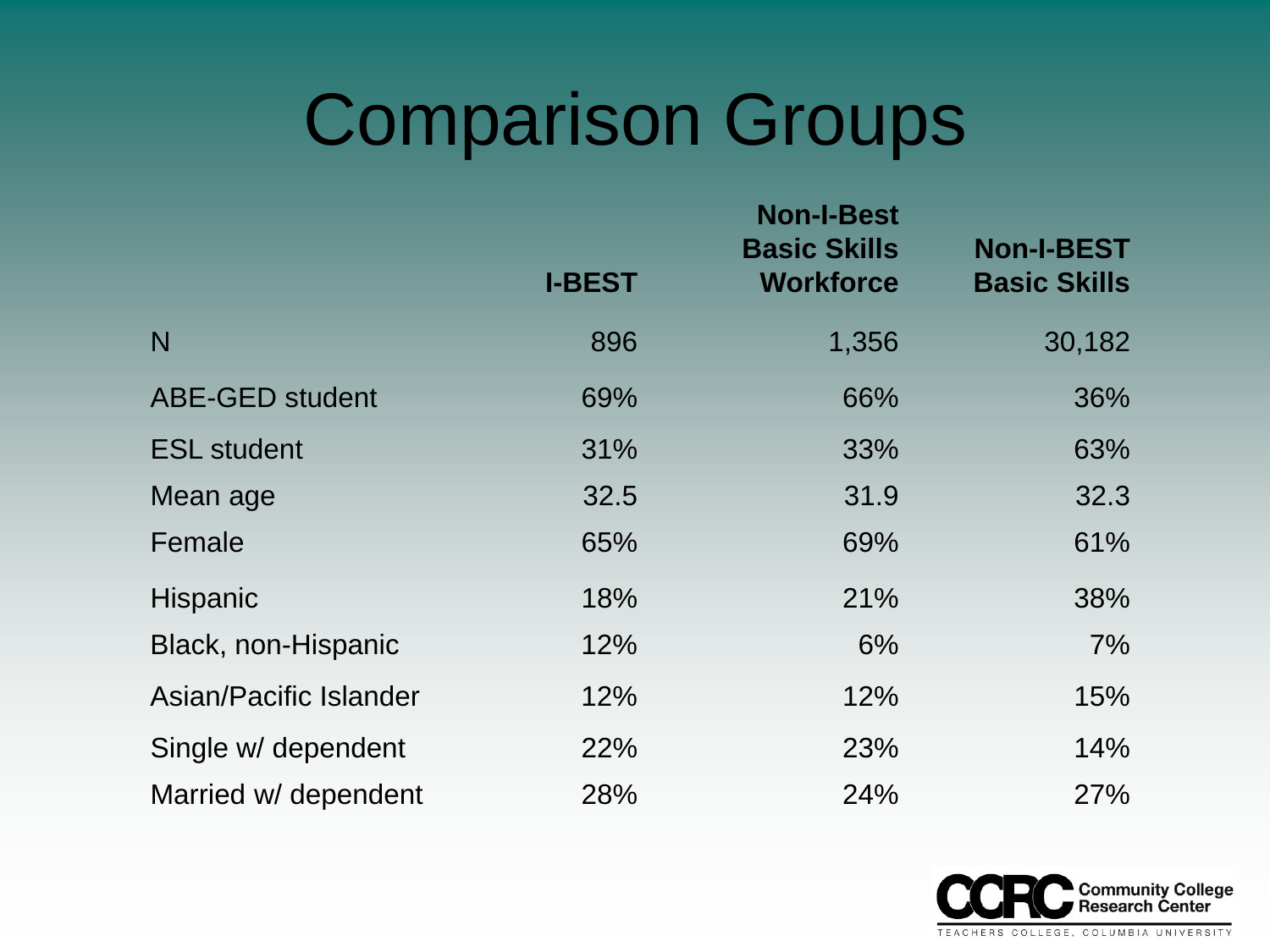## Comparison Groups

|                        | <b>I-BEST</b> | <b>Basic Skills</b><br><b>Workforce</b> | <b>Non-I-BEST</b><br><b>Basic Skills</b> |
|------------------------|---------------|-----------------------------------------|------------------------------------------|
|                        |               |                                         |                                          |
| N                      | 896           | 1,356                                   | 30,182                                   |
| <b>ABE-GED student</b> | 69%           | 66%                                     | 36%                                      |
| <b>ESL student</b>     | 31%           | 33%                                     | 63%                                      |
| Mean age               | 32.5          | 31.9                                    | 32.3                                     |
| Female                 | 65%           | 69%                                     | 61%                                      |
| Hispanic               | 18%           | 21%                                     | 38%                                      |
| Black, non-Hispanic    | 12%           | 6%                                      | 7%                                       |
| Asian/Pacific Islander | 12%           | 12%                                     | 15%                                      |
| Single w/ dependent    | 22%           | 23%                                     | 14%                                      |
| Married w/ dependent   | 28%           | 24%                                     | 27%                                      |

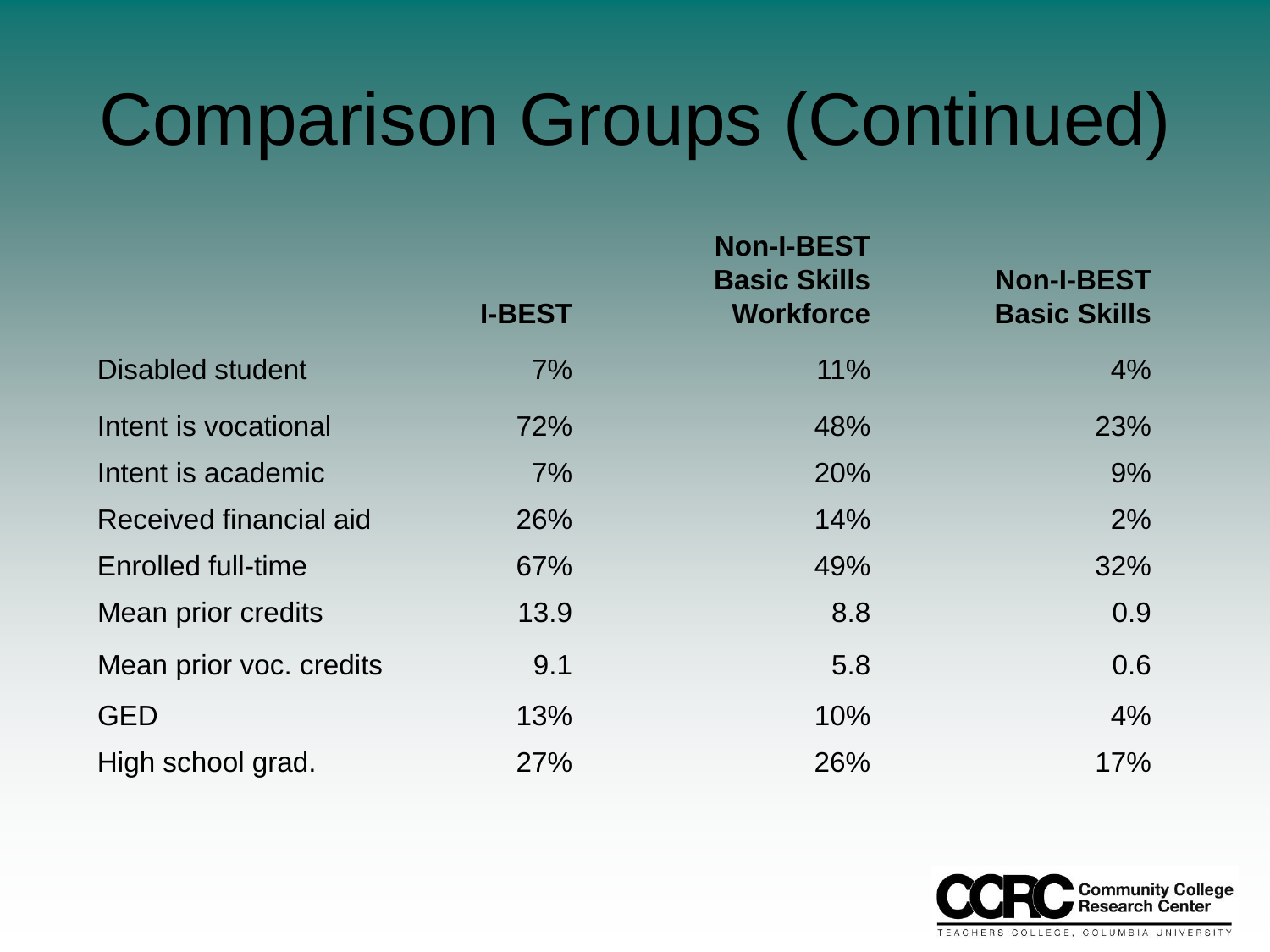## Comparison Groups (Continued)

|                           | <b>Non-I-BEST</b> |                                         |                                          |
|---------------------------|-------------------|-----------------------------------------|------------------------------------------|
|                           | <b>I-BEST</b>     | <b>Basic Skills</b><br><b>Workforce</b> | <b>Non-I-BEST</b><br><b>Basic Skills</b> |
| <b>Disabled student</b>   | 7%                | 11%                                     | 4%                                       |
| Intent is vocational      | 72%               | 48%                                     | 23%                                      |
| Intent is academic        | 7%                | 20%                                     | 9%                                       |
| Received financial aid    | 26%               | 14%                                     | 2%                                       |
| <b>Enrolled full-time</b> | 67%               | 49%                                     | 32%                                      |
| Mean prior credits        | 13.9              | 8.8                                     | 0.9                                      |
| Mean prior voc. credits   | 9.1               | 5.8                                     | 0.6                                      |
| <b>GED</b>                | 13%               | 10%                                     | 4%                                       |
| High school grad.         | <b>27%</b>        | 26%                                     | 17%                                      |

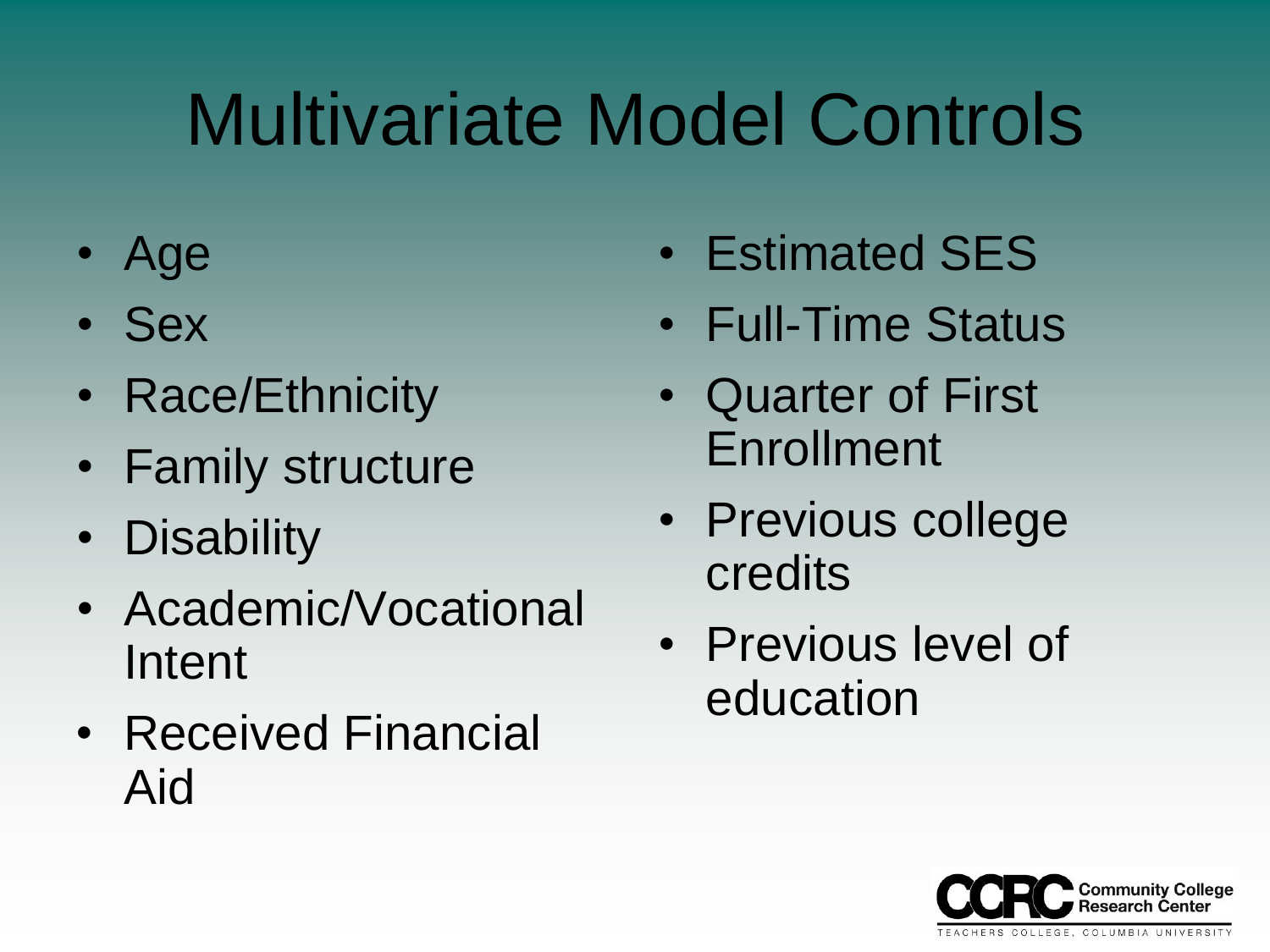# Multivariate Model Controls

- Age
- • Sex
- Race/Ethnicity
- Family structure
- Disability
- Academic/Vocational Intent
- Received Financial Aid
- Estimated SES
- Full-Time Status
- • Quarter of First Enrollment
- Previous college credits
- Previous level of education

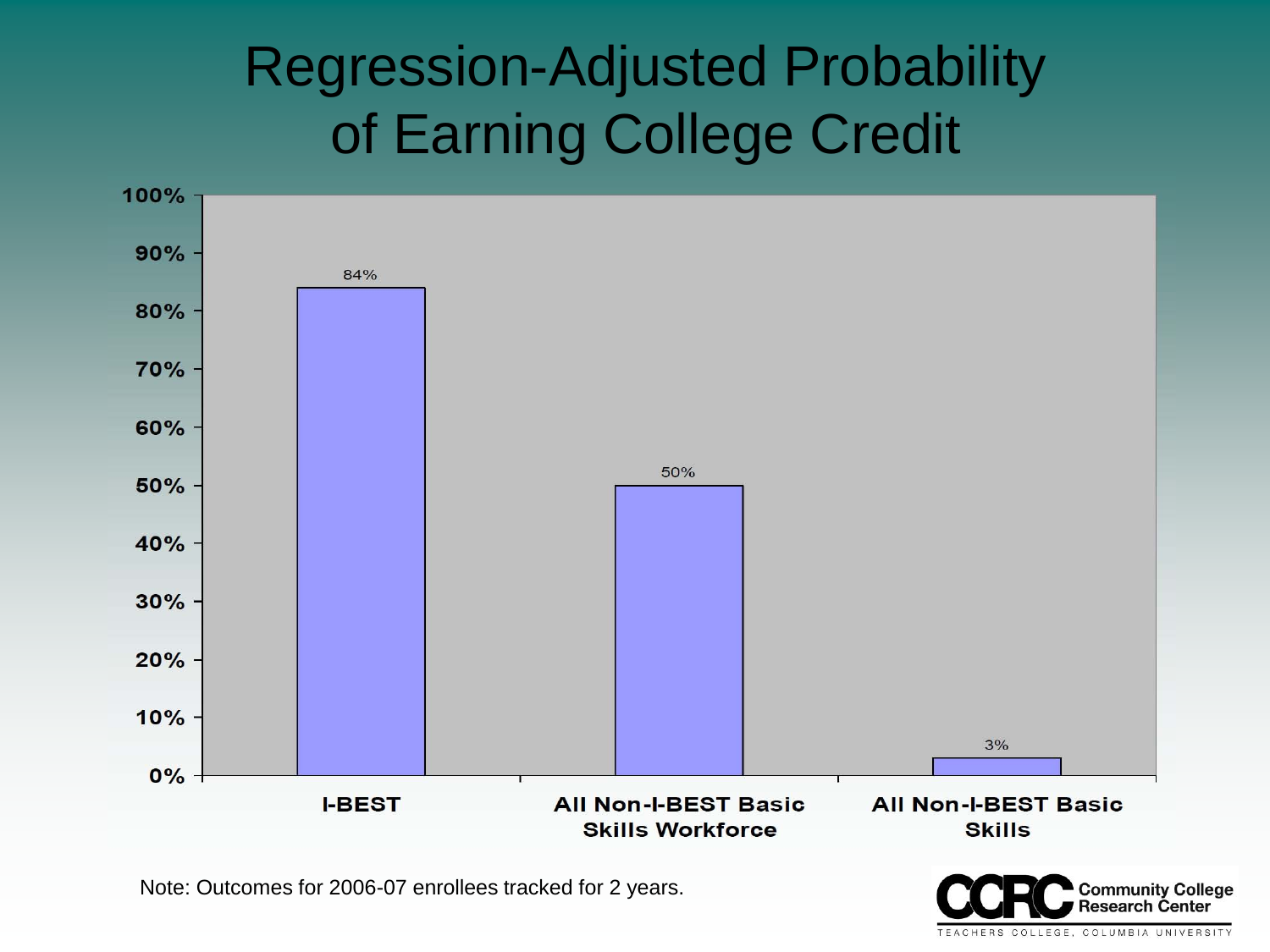#### Regression-Adjusted Probability of Earning College Credit



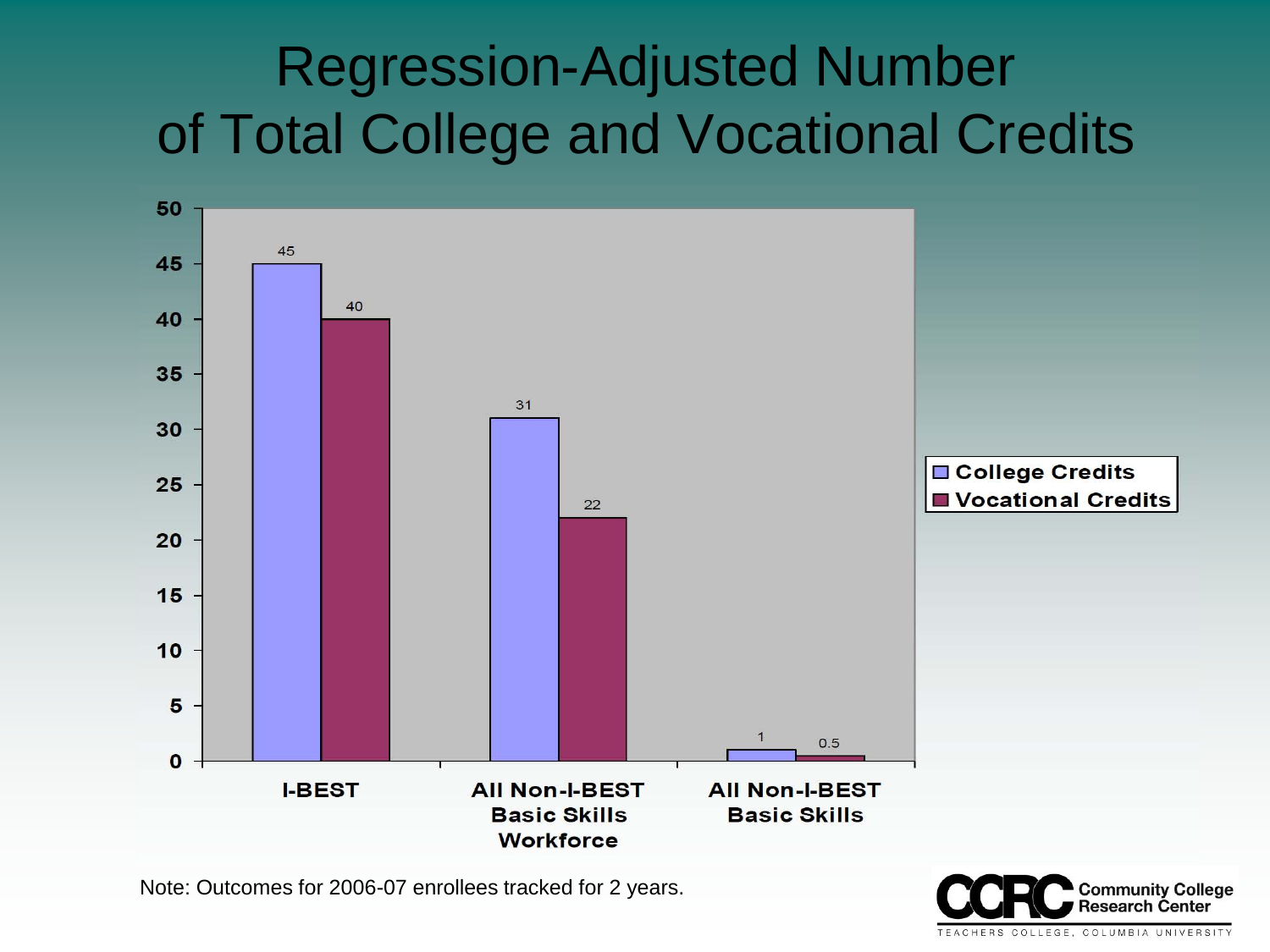### Regression-Adjusted Number of Total College and Vocational Credits



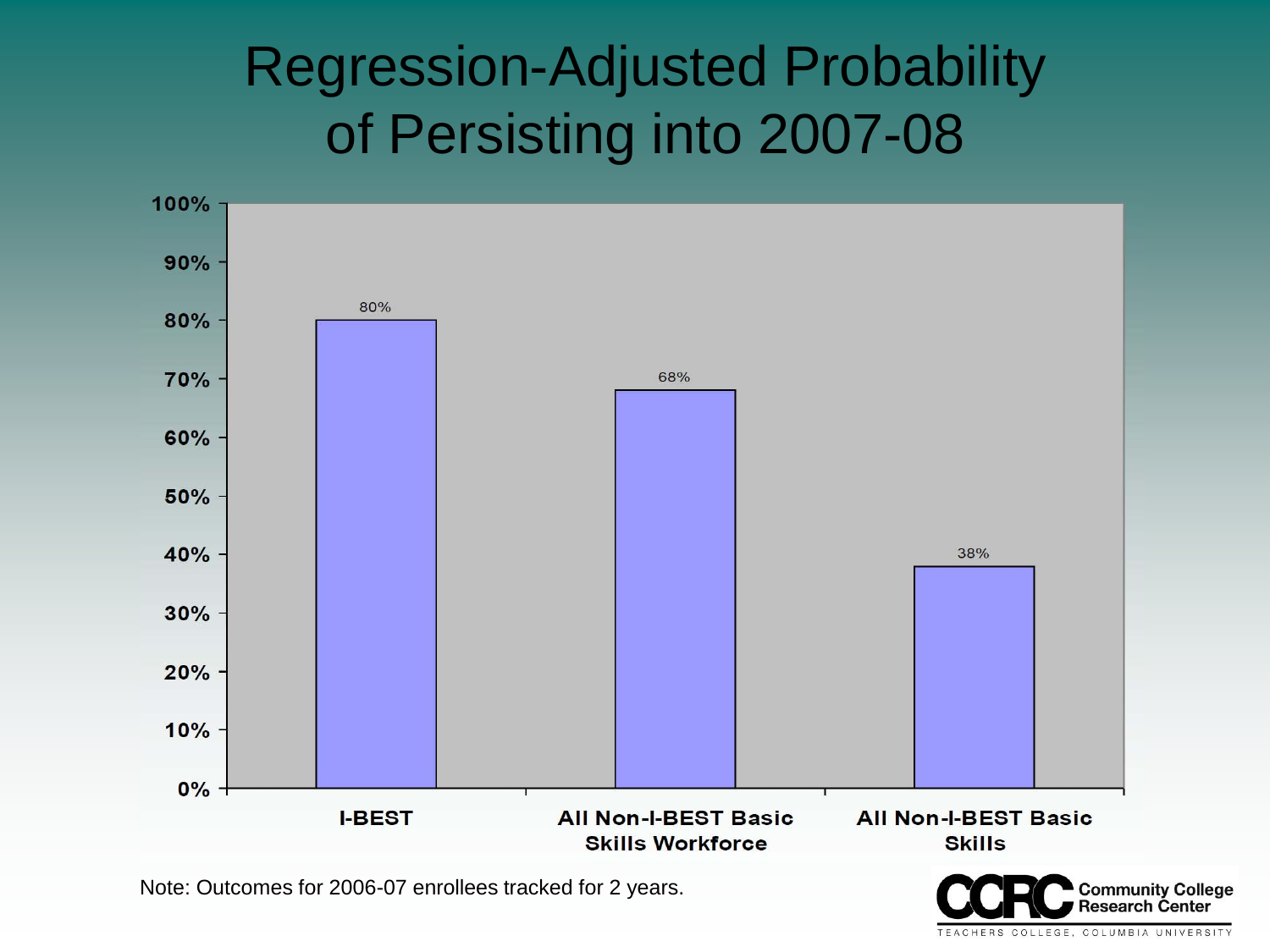#### Regression-Adjusted Probability of Persisting into 2007-08



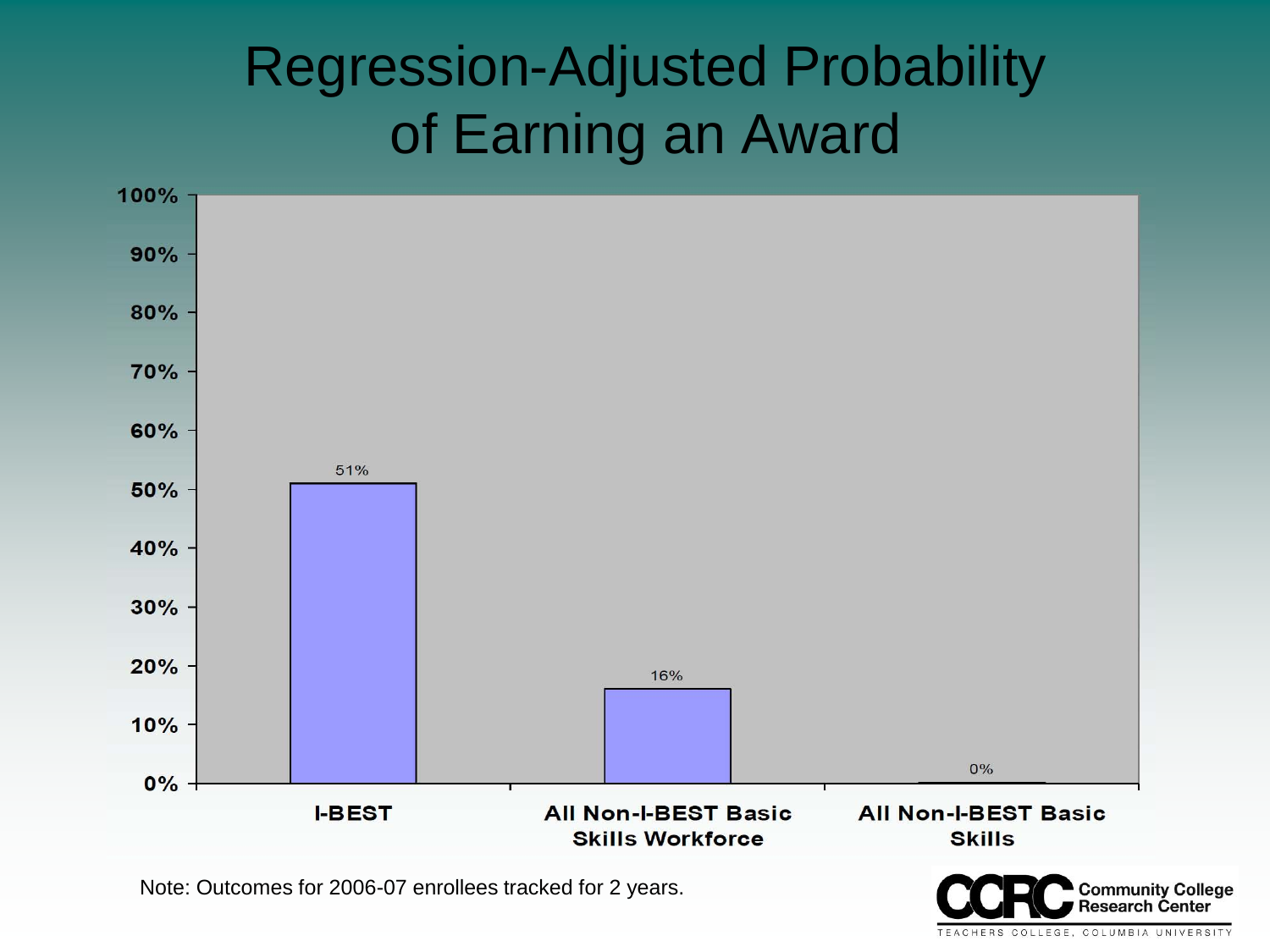#### of Earning an Award Regression-Adjusted Probability



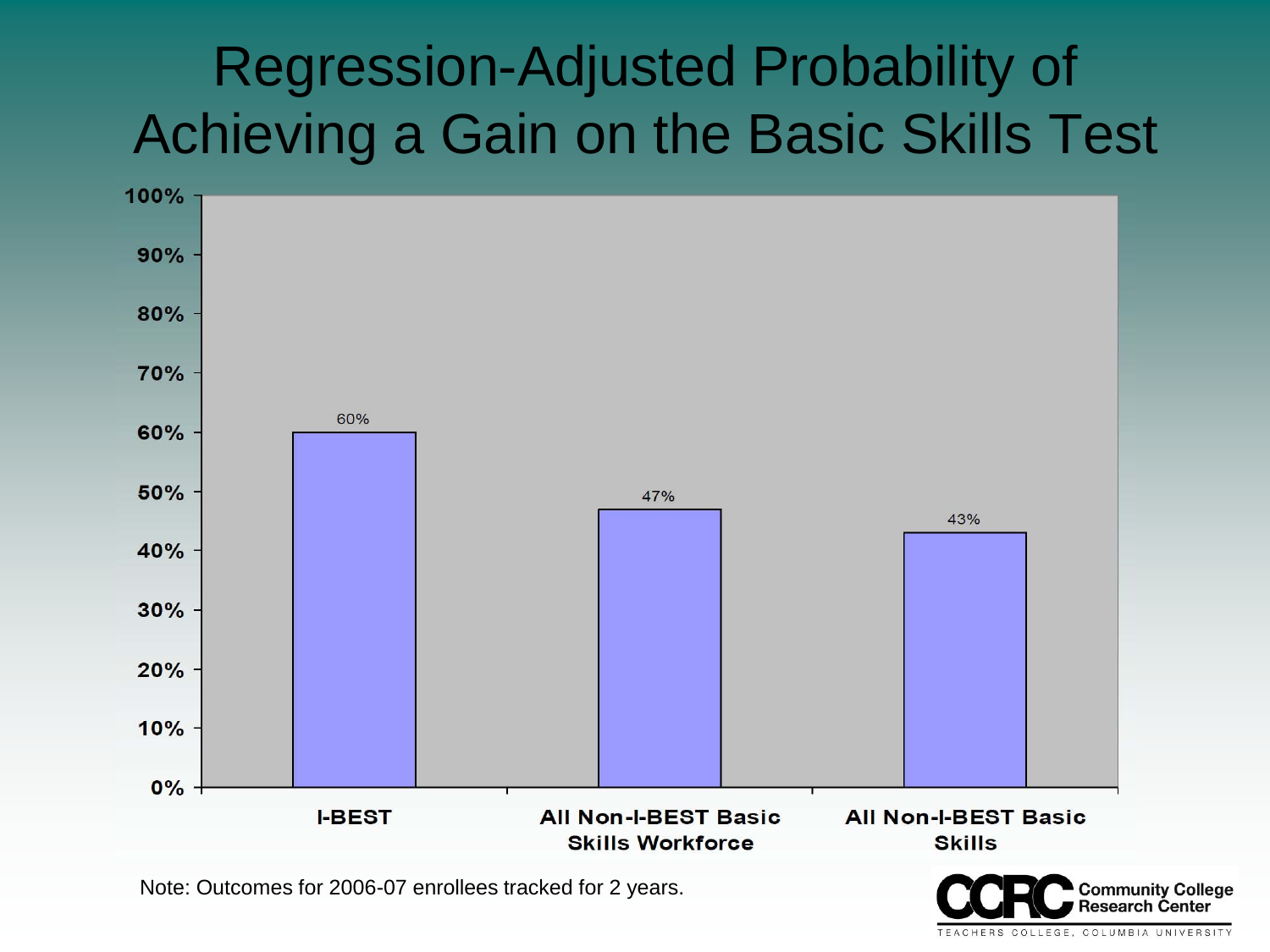#### Regression-Adjusted Probability of Achieving a Gain on the Basic Skills Test



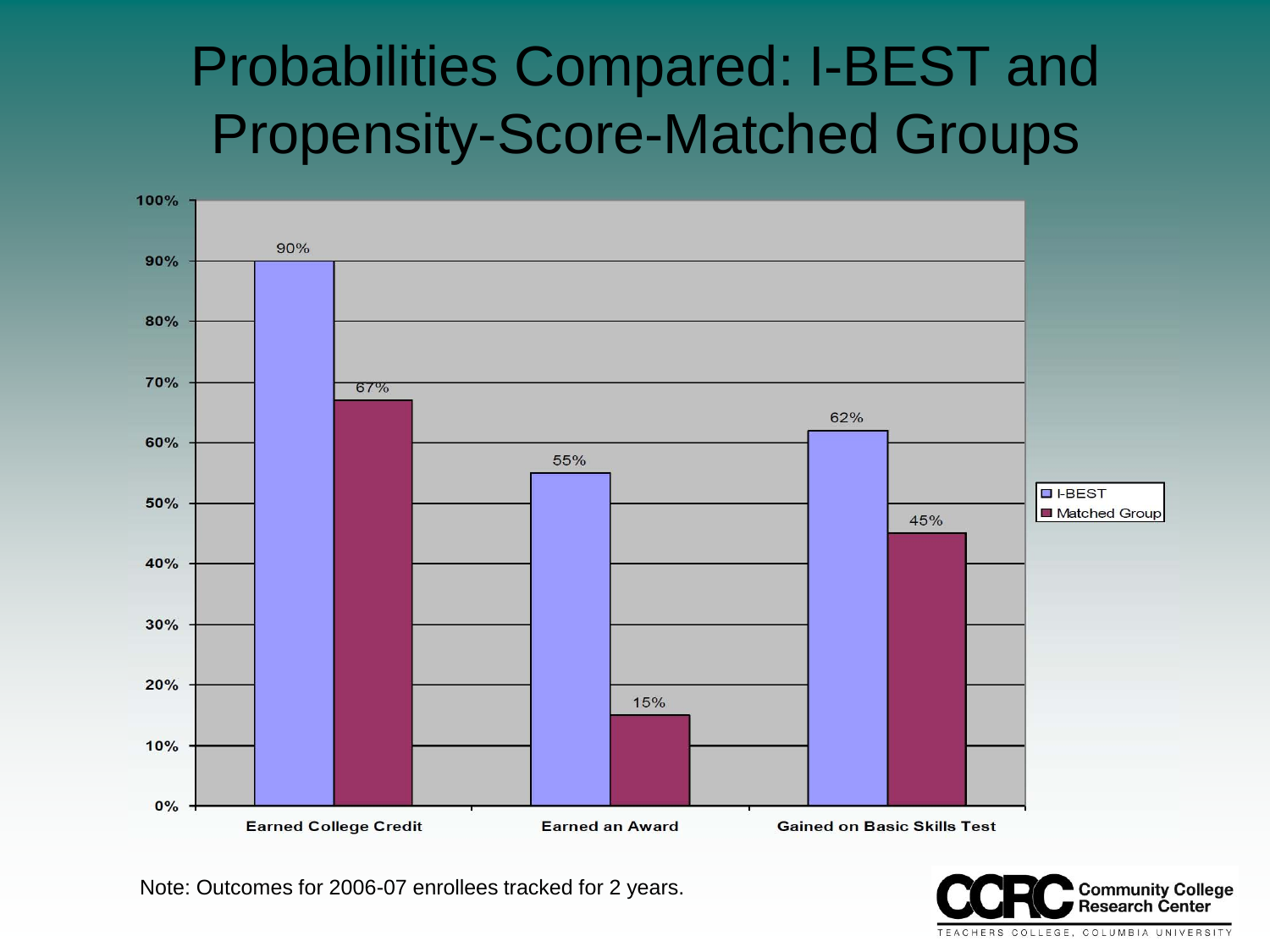#### Probabilities Compared: I-BEST and Propensity-Score-Matched Groups